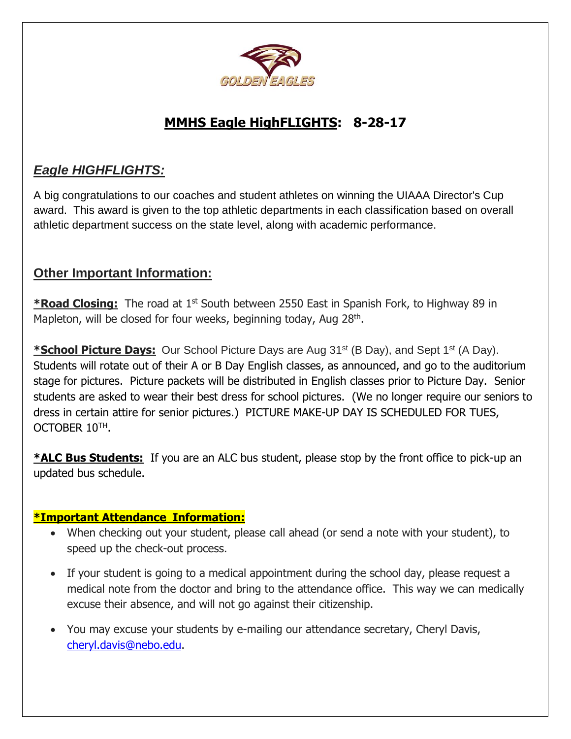

#### **MMHS Eagle HighFLIGHTS: 8-28-17**

#### *Eagle HIGHFLIGHTS:*

A big congratulations to our coaches and student athletes on winning the UIAAA Director's Cup award. This award is given to the top athletic departments in each classification based on overall athletic department success on the state level, along with academic performance.

#### **Other Important Information:**

**\*Road Closing:** The road at 1st South between 2550 East in Spanish Fork, to Highway 89 in Mapleton, will be closed for four weeks, beginning today, Aug 28<sup>th</sup>.

**\*School Picture Days:** Our School Picture Days are Aug 31<sup>st</sup> (B Day), and Sept 1<sup>st</sup> (A Day). Students will rotate out of their A or B Day English classes, as announced, and go to the auditorium stage for pictures. Picture packets will be distributed in English classes prior to Picture Day. Senior students are asked to wear their best dress for school pictures. (We no longer require our seniors to dress in certain attire for senior pictures.) PICTURE MAKE-UP DAY IS SCHEDULED FOR TUES, OCTOBER 10TH.

**\*ALC Bus Students:** If you are an ALC bus student, please stop by the front office to pick-up an updated bus schedule.

#### **\*Important Attendance Information:**

- When checking out your student, please call ahead (or send a note with your student), to speed up the check-out process.
- If your student is going to a medical appointment during the school day, please request a medical note from the doctor and bring to the attendance office. This way we can medically excuse their absence, and will not go against their citizenship.
- You may excuse your students by e-mailing our attendance secretary, Cheryl Davis, [cheryl.davis@nebo.edu.](mailto:cheryl.davis@nebo.edu)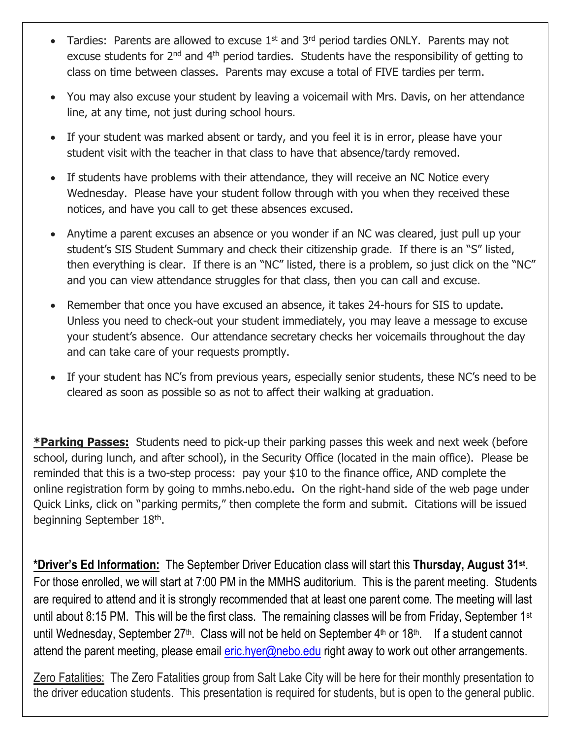- Tardies: Parents are allowed to excuse  $1<sup>st</sup>$  and  $3<sup>rd</sup>$  period tardies ONLY. Parents may not excuse students for 2<sup>nd</sup> and 4<sup>th</sup> period tardies. Students have the responsibility of getting to class on time between classes. Parents may excuse a total of FIVE tardies per term.
- You may also excuse your student by leaving a voicemail with Mrs. Davis, on her attendance line, at any time, not just during school hours.
- If your student was marked absent or tardy, and you feel it is in error, please have your student visit with the teacher in that class to have that absence/tardy removed.
- If students have problems with their attendance, they will receive an NC Notice every Wednesday. Please have your student follow through with you when they received these notices, and have you call to get these absences excused.
- Anytime a parent excuses an absence or you wonder if an NC was cleared, just pull up your student's SIS Student Summary and check their citizenship grade. If there is an "S" listed, then everything is clear. If there is an "NC" listed, there is a problem, so just click on the "NC" and you can view attendance struggles for that class, then you can call and excuse.
- Remember that once you have excused an absence, it takes 24-hours for SIS to update. Unless you need to check-out your student immediately, you may leave a message to excuse your student's absence. Our attendance secretary checks her voicemails throughout the day and can take care of your requests promptly.
- If your student has NC's from previous years, especially senior students, these NC's need to be cleared as soon as possible so as not to affect their walking at graduation.

**\*Parking Passes:** Students need to pick-up their parking passes this week and next week (before school, during lunch, and after school), in the Security Office (located in the main office). Please be reminded that this is a two-step process: pay your \$10 to the finance office, AND complete the online registration form by going to mmhs.nebo.edu. On the right-hand side of the web page under Quick Links, click on "parking permits," then complete the form and submit. Citations will be issued beginning September 18<sup>th</sup>.

**\*Driver's Ed Information:** The September Driver Education class will start this **Thursday, August 31st** . For those enrolled, we will start at 7:00 PM in the MMHS auditorium. This is the parent meeting. Students are required to attend and it is strongly recommended that at least one parent come. The meeting will last until about 8:15 PM. This will be the first class. The remaining classes will be from Friday, September 1<sup>st</sup> until Wednesday, September  $27<sup>th</sup>$ . Class will not be held on September  $4<sup>th</sup>$  or  $18<sup>th</sup>$ . If a student cannot attend the parent meeting, please email  $eric.hyer@nebo.edu$  right away to work out other arrangements.

Zero Fatalities: The Zero Fatalities group from Salt Lake City will be here for their monthly presentation to the driver education students. This presentation is required for students, but is open to the general public.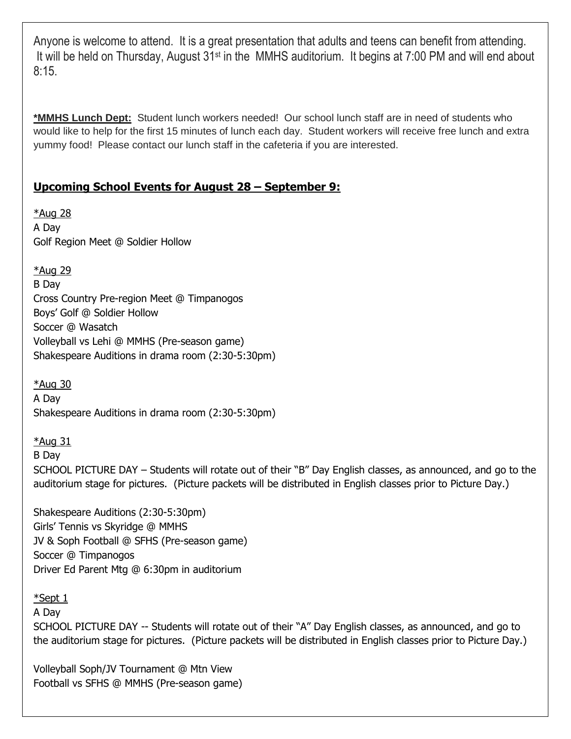Anyone is welcome to attend. It is a great presentation that adults and teens can benefit from attending. It will be held on Thursday, August 31st in the MMHS auditorium. It begins at 7:00 PM and will end about 8:15.

**\*MMHS Lunch Dept:** Student lunch workers needed! Our school lunch staff are in need of students who would like to help for the first 15 minutes of lunch each day. Student workers will receive free lunch and extra yummy food! Please contact our lunch staff in the cafeteria if you are interested.

#### **Upcoming School Events for August 28 – September 9:**

\*Aug 28 A Day Golf Region Meet @ Soldier Hollow

\*Aug 29

B Day Cross Country Pre-region Meet @ Timpanogos Boys' Golf @ Soldier Hollow Soccer @ Wasatch Volleyball vs Lehi @ MMHS (Pre-season game) Shakespeare Auditions in drama room (2:30-5:30pm)

\*Aug 30 A Day Shakespeare Auditions in drama room (2:30-5:30pm)

\*Aug 31 B Day SCHOOL PICTURE DAY – Students will rotate out of their "B" Day English classes, as announced, and go to the auditorium stage for pictures. (Picture packets will be distributed in English classes prior to Picture Day.)

Shakespeare Auditions (2:30-5:30pm) Girls' Tennis vs Skyridge @ MMHS JV & Soph Football @ SFHS (Pre-season game) Soccer @ Timpanogos Driver Ed Parent Mtg @ 6:30pm in auditorium

\*Sept 1

A Day

SCHOOL PICTURE DAY -- Students will rotate out of their "A" Day English classes, as announced, and go to the auditorium stage for pictures. (Picture packets will be distributed in English classes prior to Picture Day.)

Volleyball Soph/JV Tournament @ Mtn View Football vs SFHS @ MMHS (Pre-season game)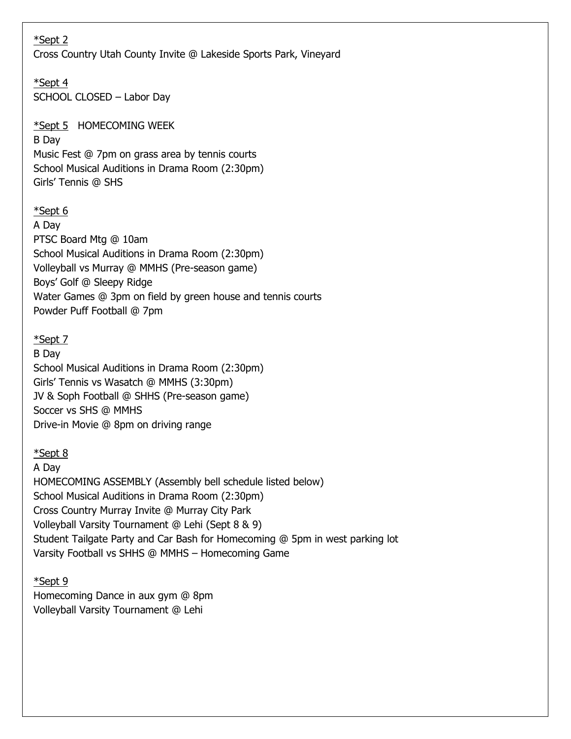| *Sept 2<br>Cross Country Utah County Invite @ Lakeside Sports Park, Vineyard                                                                                                                                                                                                                                                                                                 |
|------------------------------------------------------------------------------------------------------------------------------------------------------------------------------------------------------------------------------------------------------------------------------------------------------------------------------------------------------------------------------|
| *Sept 4<br>SCHOOL CLOSED - Labor Day                                                                                                                                                                                                                                                                                                                                         |
| *Sept 5 HOMECOMING WEEK<br>B Day<br>Music Fest @ 7pm on grass area by tennis courts<br>School Musical Auditions in Drama Room (2:30pm)<br>Girls' Tennis @ SHS                                                                                                                                                                                                                |
| *Sept 6<br>A Day<br>PTSC Board Mtg @ 10am<br>School Musical Auditions in Drama Room (2:30pm)<br>Volleyball vs Murray @ MMHS (Pre-season game)<br>Boys' Golf @ Sleepy Ridge<br>Water Games @ 3pm on field by green house and tennis courts<br>Powder Puff Football @ 7pm                                                                                                      |
| *Sept 7<br>B Day<br>School Musical Auditions in Drama Room (2:30pm)<br>Girls' Tennis vs Wasatch @ MMHS (3:30pm)<br>JV & Soph Football @ SHHS (Pre-season game)<br>Soccer vs SHS @ MMHS<br>Drive-in Movie @ 8pm on driving range                                                                                                                                              |
| *Sept 8<br>A Day<br>HOMECOMING ASSEMBLY (Assembly bell schedule listed below)<br>School Musical Auditions in Drama Room (2:30pm)<br>Cross Country Murray Invite @ Murray City Park<br>Volleyball Varsity Tournament @ Lehi (Sept 8 & 9)<br>Student Tailgate Party and Car Bash for Homecoming @ 5pm in west parking lot<br>Varsity Football vs SHHS @ MMHS - Homecoming Game |
| <u>*Sept 9</u><br>Homecoming Dance in aux gym @ 8pm<br>Volleyball Varsity Tournament @ Lehi                                                                                                                                                                                                                                                                                  |